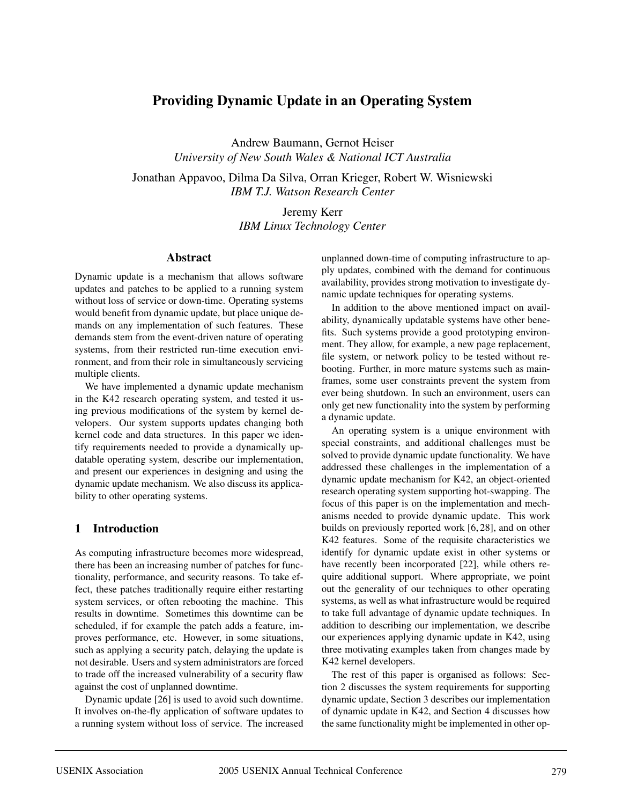# **Providing Dynamic Update in an Operating System**

Andrew Baumann, Gernot Heiser *University of New South Wales & National ICT Australia*

Jonathan Appavoo, Dilma Da Silva, Orran Krieger, Robert W. Wisniewski *IBM T.J. Watson Research Center*

> Jeremy Kerr *IBM Linux Technology Center*

#### **Abstract**

Dynamic update is a mechanism that allows software updates and patches to be applied to a running system without loss of service or down-time. Operating systems would benefit from dynamic update, but place unique demands on any implementation of such features. These demands stem from the event-driven nature of operating systems, from their restricted run-time execution environment, and from their role in simultaneously servicing multiple clients.

We have implemented a dynamic update mechanism in the K42 research operating system, and tested it using previous modifications of the system by kernel developers. Our system supports updates changing both kernel code and data structures. In this paper we identify requirements needed to provide a dynamically updatable operating system, describe our implementation, and present our experiences in designing and using the dynamic update mechanism. We also discuss its applicability to other operating systems.

## **1 Introduction**

As computing infrastructure becomes more widespread, there has been an increasing number of patches for functionality, performance, and security reasons. To take effect, these patches traditionally require either restarting system services, or often rebooting the machine. This results in downtime. Sometimes this downtime can be scheduled, if for example the patch adds a feature, improves performance, etc. However, in some situations, such as applying a security patch, delaying the update is not desirable. Users and system administrators are forced to trade off the increased vulnerability of a security flaw against the cost of unplanned downtime.

Dynamic update [26] is used to avoid such downtime. It involves on-the-fly application of software updates to a running system without loss of service. The increased unplanned down-time of computing infrastructure to apply updates, combined with the demand for continuous availability, provides strong motivation to investigate dynamic update techniques for operating systems.

In addition to the above mentioned impact on availability, dynamically updatable systems have other benefits. Such systems provide a good prototyping environment. They allow, for example, a new page replacement, file system, or network policy to be tested without rebooting. Further, in more mature systems such as mainframes, some user constraints prevent the system from ever being shutdown. In such an environment, users can only get new functionality into the system by performing a dynamic update.

An operating system is a unique environment with special constraints, and additional challenges must be solved to provide dynamic update functionality. We have addressed these challenges in the implementation of a dynamic update mechanism for K42, an object-oriented research operating system supporting hot-swapping. The focus of this paper is on the implementation and mechanisms needed to provide dynamic update. This work builds on previously reported work [6, 28], and on other K42 features. Some of the requisite characteristics we identify for dynamic update exist in other systems or have recently been incorporated [22], while others require additional support. Where appropriate, we point out the generality of our techniques to other operating systems, as well as what infrastructure would be required to take full advantage of dynamic update techniques. In addition to describing our implementation, we describe our experiences applying dynamic update in K42, using three motivating examples taken from changes made by K42 kernel developers.

The rest of this paper is organised as follows: Section 2 discusses the system requirements for supporting dynamic update, Section 3 describes our implementation of dynamic update in K42, and Section 4 discusses how the same functionality might be implemented in other op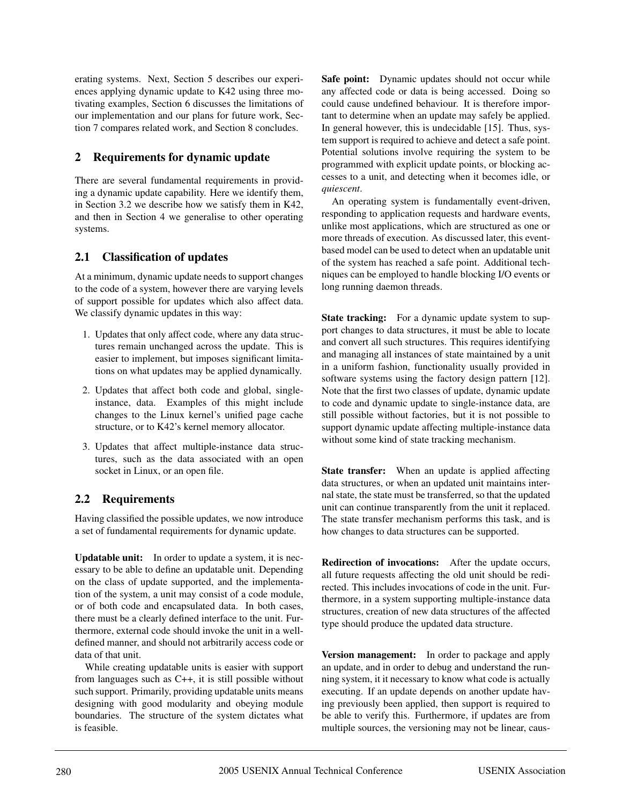erating systems. Next, Section 5 describes our experiences applying dynamic update to K42 using three motivating examples, Section 6 discusses the limitations of our implementation and our plans for future work, Section 7 compares related work, and Section 8 concludes.

# **2 Requirements for dynamic update**

There are several fundamental requirements in providing a dynamic update capability. Here we identify them, in Section 3.2 we describe how we satisfy them in K42, and then in Section 4 we generalise to other operating systems.

# **2.1 Classification of updates**

At a minimum, dynamic update needs to support changes to the code of a system, however there are varying levels of support possible for updates which also affect data. We classify dynamic updates in this way:

- 1. Updates that only affect code, where any data structures remain unchanged across the update. This is easier to implement, but imposes significant limitations on what updates may be applied dynamically.
- 2. Updates that affect both code and global, singleinstance, data. Examples of this might include changes to the Linux kernel's unified page cache structure, or to K42's kernel memory allocator.
- 3. Updates that affect multiple-instance data structures, such as the data associated with an open socket in Linux, or an open file.

# **2.2 Requirements**

Having classified the possible updates, we now introduce a set of fundamental requirements for dynamic update.

**Updatable unit:** In order to update a system, it is necessary to be able to define an updatable unit. Depending on the class of update supported, and the implementation of the system, a unit may consist of a code module, or of both code and encapsulated data. In both cases, there must be a clearly defined interface to the unit. Furthermore, external code should invoke the unit in a welldefined manner, and should not arbitrarily access code or data of that unit.

While creating updatable units is easier with support from languages such as C++, it is still possible without such support. Primarily, providing updatable units means designing with good modularity and obeying module boundaries. The structure of the system dictates what is feasible.

**Safe point:** Dynamic updates should not occur while any affected code or data is being accessed. Doing so could cause undefined behaviour. It is therefore important to determine when an update may safely be applied. In general however, this is undecidable [15]. Thus, system support is required to achieve and detect a safe point. Potential solutions involve requiring the system to be programmed with explicit update points, or blocking accesses to a unit, and detecting when it becomes idle, or *quiescent*.

An operating system is fundamentally event-driven, responding to application requests and hardware events, unlike most applications, which are structured as one or more threads of execution. As discussed later, this eventbased model can be used to detect when an updatable unit of the system has reached a safe point. Additional techniques can be employed to handle blocking I/O events or long running daemon threads.

**State tracking:** For a dynamic update system to support changes to data structures, it must be able to locate and convert all such structures. This requires identifying and managing all instances of state maintained by a unit in a uniform fashion, functionality usually provided in software systems using the factory design pattern [12]. Note that the first two classes of update, dynamic update to code and dynamic update to single-instance data, are still possible without factories, but it is not possible to support dynamic update affecting multiple-instance data without some kind of state tracking mechanism.

**State transfer:** When an update is applied affecting data structures, or when an updated unit maintains internal state, the state must be transferred, so that the updated unit can continue transparently from the unit it replaced. The state transfer mechanism performs this task, and is how changes to data structures can be supported.

**Redirection of invocations:** After the update occurs, all future requests affecting the old unit should be redirected. This includes invocations of code in the unit. Furthermore, in a system supporting multiple-instance data structures, creation of new data structures of the affected type should produce the updated data structure.

**Version management:** In order to package and apply an update, and in order to debug and understand the running system, it it necessary to know what code is actually executing. If an update depends on another update having previously been applied, then support is required to be able to verify this. Furthermore, if updates are from multiple sources, the versioning may not be linear, caus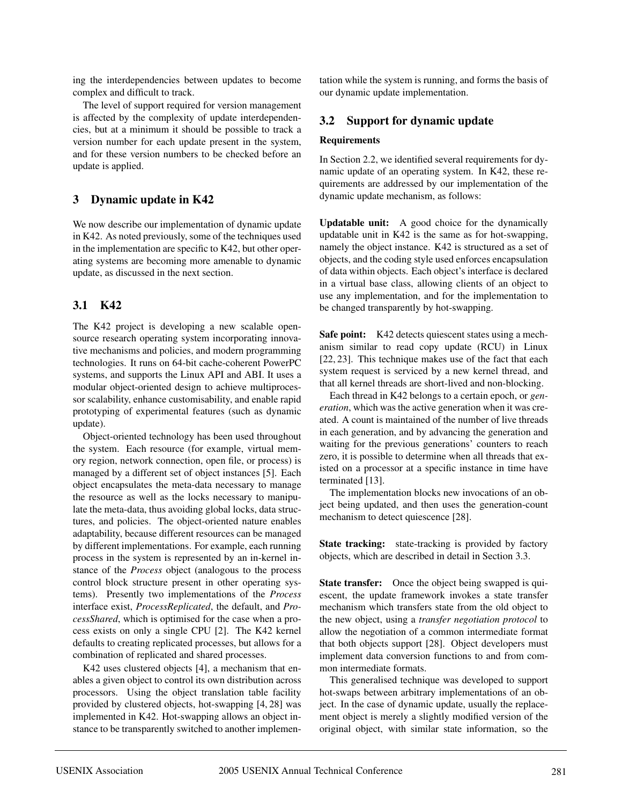ing the interdependencies between updates to become complex and difficult to track.

The level of support required for version management is affected by the complexity of update interdependencies, but at a minimum it should be possible to track a version number for each update present in the system, and for these version numbers to be checked before an update is applied.

# **3 Dynamic update in K42**

We now describe our implementation of dynamic update in K42. As noted previously, some of the techniques used in the implementation are specific to K42, but other operating systems are becoming more amenable to dynamic update, as discussed in the next section.

## **3.1 K42**

The K42 project is developing a new scalable opensource research operating system incorporating innovative mechanisms and policies, and modern programming technologies. It runs on 64-bit cache-coherent PowerPC systems, and supports the Linux API and ABI. It uses a modular object-oriented design to achieve multiprocessor scalability, enhance customisability, and enable rapid prototyping of experimental features (such as dynamic update).

Object-oriented technology has been used throughout the system. Each resource (for example, virtual memory region, network connection, open file, or process) is managed by a different set of object instances [5]. Each object encapsulates the meta-data necessary to manage the resource as well as the locks necessary to manipulate the meta-data, thus avoiding global locks, data structures, and policies. The object-oriented nature enables adaptability, because different resources can be managed by different implementations. For example, each running process in the system is represented by an in-kernel instance of the *Process* object (analogous to the process control block structure present in other operating systems). Presently two implementations of the *Process* interface exist, *ProcessReplicated*, the default, and *ProcessShared*, which is optimised for the case when a process exists on only a single CPU [2]. The K42 kernel defaults to creating replicated processes, but allows for a combination of replicated and shared processes.

K42 uses clustered objects [4], a mechanism that enables a given object to control its own distribution across processors. Using the object translation table facility provided by clustered objects, hot-swapping [4, 28] was implemented in K42. Hot-swapping allows an object instance to be transparently switched to another implementation while the system is running, and forms the basis of our dynamic update implementation.

## **3.2 Support for dynamic update**

#### **Requirements**

In Section 2.2, we identified several requirements for dynamic update of an operating system. In K42, these requirements are addressed by our implementation of the dynamic update mechanism, as follows:

**Updatable unit:** A good choice for the dynamically updatable unit in K42 is the same as for hot-swapping, namely the object instance. K42 is structured as a set of objects, and the coding style used enforces encapsulation of data within objects. Each object's interface is declared in a virtual base class, allowing clients of an object to use any implementation, and for the implementation to be changed transparently by hot-swapping.

**Safe point:** K42 detects quiescent states using a mechanism similar to read copy update (RCU) in Linux [22, 23]. This technique makes use of the fact that each system request is serviced by a new kernel thread, and that all kernel threads are short-lived and non-blocking.

Each thread in K42 belongs to a certain epoch, or *generation*, which was the active generation when it was created. A count is maintained of the number of live threads in each generation, and by advancing the generation and waiting for the previous generations' counters to reach zero, it is possible to determine when all threads that existed on a processor at a specific instance in time have terminated [13].

The implementation blocks new invocations of an object being updated, and then uses the generation-count mechanism to detect quiescence [28].

**State tracking:** state-tracking is provided by factory objects, which are described in detail in Section 3.3.

**State transfer:** Once the object being swapped is quiescent, the update framework invokes a state transfer mechanism which transfers state from the old object to the new object, using a *transfer negotiation protocol* to allow the negotiation of a common intermediate format that both objects support [28]. Object developers must implement data conversion functions to and from common intermediate formats.

This generalised technique was developed to support hot-swaps between arbitrary implementations of an object. In the case of dynamic update, usually the replacement object is merely a slightly modified version of the original object, with similar state information, so the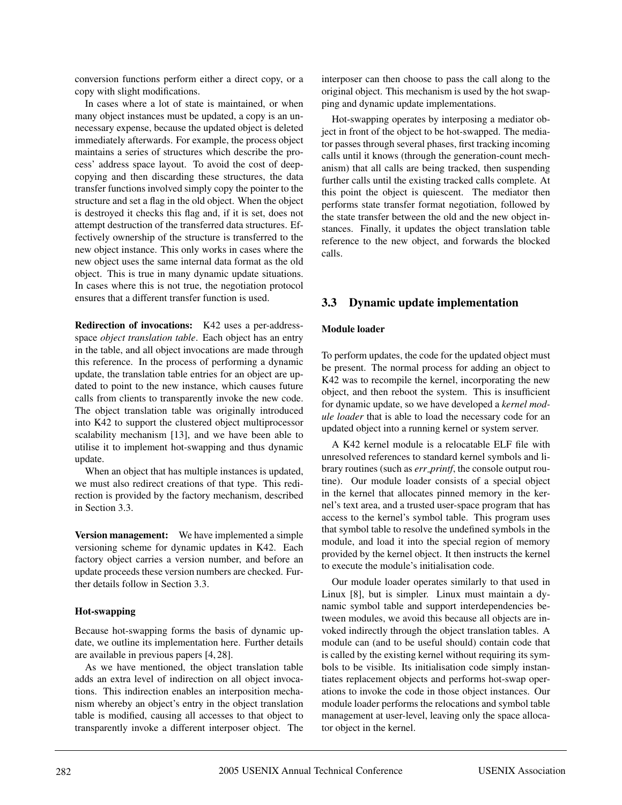conversion functions perform either a direct copy, or a copy with slight modifications.

In cases where a lot of state is maintained, or when many object instances must be updated, a copy is an unnecessary expense, because the updated object is deleted immediately afterwards. For example, the process object maintains a series of structures which describe the process' address space layout. To avoid the cost of deepcopying and then discarding these structures, the data transfer functions involved simply copy the pointer to the structure and set a flag in the old object. When the object is destroyed it checks this flag and, if it is set, does not attempt destruction of the transferred data structures. Effectively ownership of the structure is transferred to the new object instance. This only works in cases where the new object uses the same internal data format as the old object. This is true in many dynamic update situations. In cases where this is not true, the negotiation protocol ensures that a different transfer function is used.

**Redirection of invocations:** K42 uses a per-addressspace *object translation table*. Each object has an entry in the table, and all object invocations are made through this reference. In the process of performing a dynamic update, the translation table entries for an object are updated to point to the new instance, which causes future calls from clients to transparently invoke the new code. The object translation table was originally introduced into K42 to support the clustered object multiprocessor scalability mechanism [13], and we have been able to utilise it to implement hot-swapping and thus dynamic update.

When an object that has multiple instances is updated, we must also redirect creations of that type. This redirection is provided by the factory mechanism, described in Section 3.3.

**Version management:** We have implemented a simple versioning scheme for dynamic updates in K42. Each factory object carries a version number, and before an update proceeds these version numbers are checked. Further details follow in Section 3.3.

## **Hot-swapping**

Because hot-swapping forms the basis of dynamic update, we outline its implementation here. Further details are available in previous papers [4, 28].

As we have mentioned, the object translation table adds an extra level of indirection on all object invocations. This indirection enables an interposition mechanism whereby an object's entry in the object translation table is modified, causing all accesses to that object to transparently invoke a different interposer object. The

interposer can then choose to pass the call along to the original object. This mechanism is used by the hot swapping and dynamic update implementations.

Hot-swapping operates by interposing a mediator object in front of the object to be hot-swapped. The mediator passes through several phases, first tracking incoming calls until it knows (through the generation-count mechanism) that all calls are being tracked, then suspending further calls until the existing tracked calls complete. At this point the object is quiescent. The mediator then performs state transfer format negotiation, followed by the state transfer between the old and the new object instances. Finally, it updates the object translation table reference to the new object, and forwards the blocked calls.

# **3.3 Dynamic update implementation**

## **Module loader**

To perform updates, the code for the updated object must be present. The normal process for adding an object to K42 was to recompile the kernel, incorporating the new object, and then reboot the system. This is insufficient for dynamic update, so we have developed a *kernel module loader* that is able to load the necessary code for an updated object into a running kernel or system server.

A K42 kernel module is a relocatable ELF file with unresolved references to standard kernel symbols and library routines (such as *err printf*, the console output routine). Our module loader consists of a special object in the kernel that allocates pinned memory in the kernel's text area, and a trusted user-space program that has access to the kernel's symbol table. This program uses that symbol table to resolve the undefined symbols in the module, and load it into the special region of memory provided by the kernel object. It then instructs the kernel to execute the module's initialisation code.

Our module loader operates similarly to that used in Linux [8], but is simpler. Linux must maintain a dynamic symbol table and support interdependencies between modules, we avoid this because all objects are invoked indirectly through the object translation tables. A module can (and to be useful should) contain code that is called by the existing kernel without requiring its symbols to be visible. Its initialisation code simply instantiates replacement objects and performs hot-swap operations to invoke the code in those object instances. Our module loader performs the relocations and symbol table management at user-level, leaving only the space allocator object in the kernel.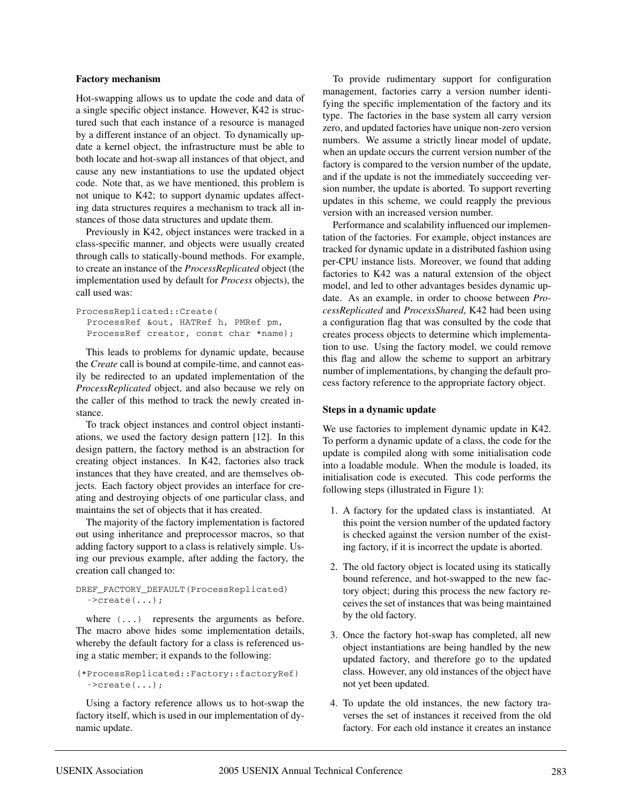#### **Factory mechanism**

Hot-swapping allows us to update the code and data of a single specific object instance. However, K42 is structured such that each instance of a resource is managed by a different instance of an object. To dynamically update a kernel object, the infrastructure must be able to both locate and hot-swap all instances of that object, and cause any new instantiations to use the updated object code. Note that, as we have mentioned, this problem is not unique to K42; to support dynamic updates affecting data structures requires a mechanism to track all instances of those data structures and update them.

Previously in K42, object instances were tracked in a class-specific manner, and objects were usually created through calls to statically-bound methods. For example, to create an instance of the *ProcessReplicated* object (the implementation used by default for *Process* objects), the call used was:

```
ProcessReplicated::Create(
 ProcessRef &out, HATRef h, PMRef pm,
 ProcessRef creator, const char *name);
```
This leads to problems for dynamic update, because the *Create* call is bound at compile-time, and cannot easily be redirected to an updated implementation of the *ProcessReplicated* object, and also because we rely on the caller of this method to track the newly created instance.

To track object instances and control object instantiations, we used the factory design pattern [12]. In this design pattern, the factory method is an abstraction for creating object instances. In K42, factories also track instances that they have created, and are themselves objects. Each factory object provides an interface for creating and destroying objects of one particular class, and maintains the set of objects that it has created.

The majority of the factory implementation is factored out using inheritance and preprocessor macros, so that adding factory support to a class is relatively simple. Using our previous example, after adding the factory, the creation call changed to:

#### DREF\_FACTORY\_DEFAULT(ProcessReplicated)  $\text{-}$ >create $\ldots$ ;

where  $( \ldots )$  represents the arguments as before. The macro above hides some implementation details, whereby the default factory for a class is referenced using a static member; it expands to the following:

(\*ProcessReplicated::Factory::factoryRef)  $\text{--}$   $\text{--}$   $\text{--}$ 

Using a factory reference allows us to hot-swap the factory itself, which is used in our implementation of dynamic update.

To provide rudimentary support for configuration management, factories carry a version number identifying the specific implementation of the factory and its type. The factories in the base system all carry version zero, and updated factories have unique non-zero version numbers. We assume a strictly linear model of update, when an update occurs the current version number of the factory is compared to the version number of the update, and if the update is not the immediately succeeding version number, the update is aborted. To support reverting updates in this scheme, we could reapply the previous version with an increased version number.

Performance and scalability influenced our implementation of the factories. For example, object instances are tracked for dynamic update in a distributed fashion using per-CPU instance lists. Moreover, we found that adding factories to K42 was a natural extension of the object model, and led to other advantages besides dynamic update. As an example, in order to choose between *ProcessReplicated* and *ProcessShared*, K42 had been using a configuration flag that was consulted by the code that creates process objects to determine which implementation to use. Using the factory model, we could remove this flag and allow the scheme to support an arbitrary number of implementations, by changing the default process factory reference to the appropriate factory object.

#### **Steps in a dynamic update**

We use factories to implement dynamic update in K42. To perform a dynamic update of a class, the code for the update is compiled along with some initialisation code into a loadable module. When the module is loaded, its initialisation code is executed. This code performs the following steps (illustrated in Figure 1):

- 1. A factory for the updated class is instantiated. At this point the version number of the updated factory is checked against the version number of the existing factory, if it is incorrect the update is aborted.
- 2. The old factory object is located using its statically bound reference, and hot-swapped to the new factory object; during this process the new factory receives the set of instances that was being maintained by the old factory.
- 3. Once the factory hot-swap has completed, all new object instantiations are being handled by the new updated factory, and therefore go to the updated class. However, any old instances of the object have not yet been updated.
- 4. To update the old instances, the new factory traverses the set of instances it received from the old factory. For each old instance it creates an instance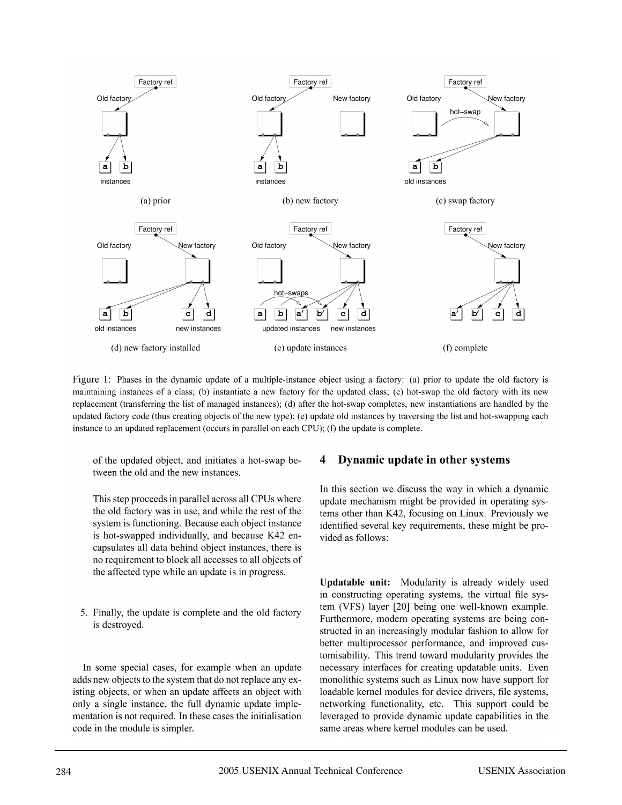

Figure 1: Phases in the dynamic update of a multiple-instance object using a factory: (a) prior to update the old factory is maintaining instances of a class; (b) instantiate a new factory for the updated class; (c) hot-swap the old factory with its new replacement (transferring the list of managed instances); (d) after the hot-swap completes, new instantiations are handled by the updated factory code (thus creating objects of the new type); (e) update old instances by traversing the list and hot-swapping each instance to an updated replacement (occurs in parallel on each CPU); (f) the update is complete.

of the updated object, and initiates a hot-swap between the old and the new instances.

This step proceeds in parallel across all CPUs where the old factory was in use, and while the rest of the system is functioning. Because each object instance is hot-swapped individually, and because K42 encapsulates all data behind object instances, there is no requirement to block all accesses to all objects of the affected type while an update is in progress.

5. Finally, the update is complete and the old factory is destroyed.

In some special cases, for example when an update adds new objects to the system that do not replace any existing objects, or when an update affects an object with only a single instance, the full dynamic update implementation is not required. In these cases the initialisation code in the module is simpler.

#### Dynamic update in other systems 4

In this section we discuss the way in which a dynamic update mechanism might be provided in operating systems other than K42, focusing on Linux. Previously we identified several key requirements, these might be provided as follows:

Updatable unit: Modularity is already widely used in constructing operating systems, the virtual file system (VFS) layer [20] being one well-known example. Furthermore, modern operating systems are being constructed in an increasingly modular fashion to allow for better multiprocessor performance, and improved customisability. This trend toward modularity provides the necessary interfaces for creating updatable units. Even monolithic systems such as Linux now have support for loadable kernel modules for device drivers, file systems, networking functionality, etc. This support could be leveraged to provide dynamic update capabilities in the same areas where kernel modules can be used.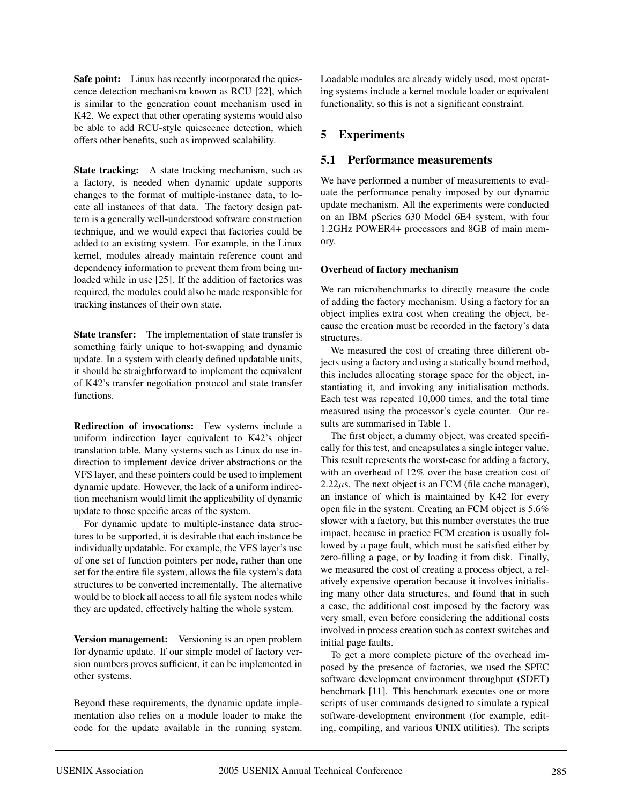**Safe point:** Linux has recently incorporated the quiescence detection mechanism known as RCU [22], which is similar to the generation count mechanism used in K42. We expect that other operating systems would also be able to add RCU-style quiescence detection, which offers other benefits, such as improved scalability.

**State tracking:** A state tracking mechanism, such as a factory, is needed when dynamic update supports changes to the format of multiple-instance data, to locate all instances of that data. The factory design pattern is a generally well-understood software construction technique, and we would expect that factories could be added to an existing system. For example, in the Linux kernel, modules already maintain reference count and dependency information to prevent them from being unloaded while in use [25]. If the addition of factories was required, the modules could also be made responsible for tracking instances of their own state.

**State transfer:** The implementation of state transfer is something fairly unique to hot-swapping and dynamic update. In a system with clearly defined updatable units, it should be straightforward to implement the equivalent of K42's transfer negotiation protocol and state transfer functions.

**Redirection of invocations:** Few systems include a uniform indirection layer equivalent to K42's object translation table. Many systems such as Linux do use indirection to implement device driver abstractions or the VFS layer, and these pointers could be used to implement dynamic update. However, the lack of a uniform indirection mechanism would limit the applicability of dynamic update to those specific areas of the system.

For dynamic update to multiple-instance data structures to be supported, it is desirable that each instance be individually updatable. For example, the VFS layer's use of one set of function pointers per node, rather than one set for the entire file system, allows the file system's data structures to be converted incrementally. The alternative would be to block all access to all file system nodes while they are updated, effectively halting the whole system.

**Version management:** Versioning is an open problem for dynamic update. If our simple model of factory version numbers proves sufficient, it can be implemented in other systems.

Beyond these requirements, the dynamic update implementation also relies on a module loader to make the code for the update available in the running system. Loadable modules are already widely used, most operating systems include a kernel module loader or equivalent functionality, so this is not a significant constraint.

# **5 Experiments**

# **5.1 Performance measurements**

We have performed a number of measurements to evaluate the performance penalty imposed by our dynamic update mechanism. All the experiments were conducted on an IBM pSeries 630 Model 6E4 system, with four 1.2GHz POWER4+ processors and 8GB of main memory.

## **Overhead of factory mechanism**

We ran microbenchmarks to directly measure the code of adding the factory mechanism. Using a factory for an object implies extra cost when creating the object, because the creation must be recorded in the factory's data structures.

We measured the cost of creating three different objects using a factory and using a statically bound method, this includes allocating storage space for the object, instantiating it, and invoking any initialisation methods. Each test was repeated 10,000 times, and the total time measured using the processor's cycle counter. Our results are summarised in Table 1.

The first object, a dummy object, was created specifically for this test, and encapsulates a single integer value. This result represents the worst-case for adding a factory, with an overhead of 12% over the base creation cost of  $2.22\mu$ s. The next object is an FCM (file cache manager), an instance of which is maintained by K42 for every open file in the system. Creating an FCM object is 5.6% slower with a factory, but this number overstates the true impact, because in practice FCM creation is usually followed by a page fault, which must be satisfied either by zero-filling a page, or by loading it from disk. Finally, we measured the cost of creating a process object, a relatively expensive operation because it involves initialising many other data structures, and found that in such a case, the additional cost imposed by the factory was very small, even before considering the additional costs involved in process creation such as context switches and initial page faults.

To get a more complete picture of the overhead imposed by the presence of factories, we used the SPEC software development environment throughput (SDET) benchmark [11]. This benchmark executes one or more scripts of user commands designed to simulate a typical software-development environment (for example, editing, compiling, and various UNIX utilities). The scripts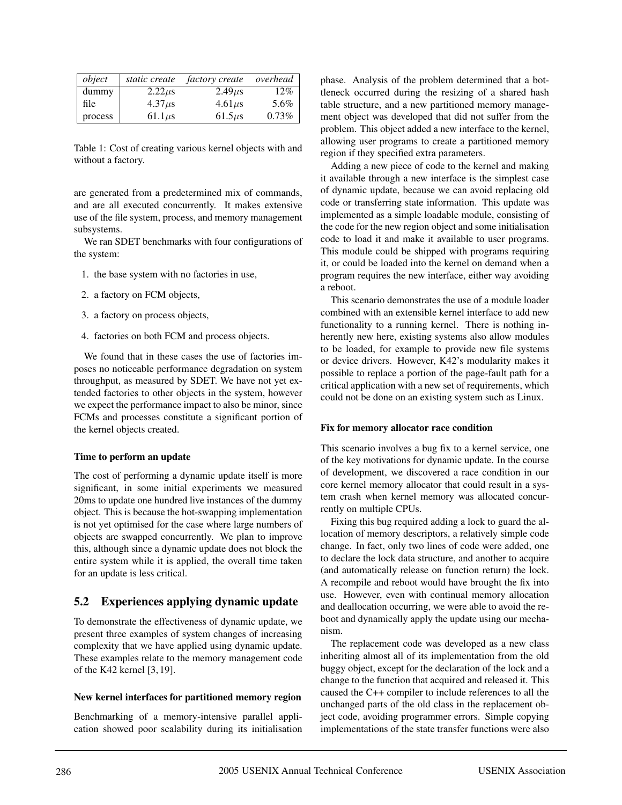| object  | static create | <i>factory create</i> | overhead |
|---------|---------------|-----------------------|----------|
| dummy   | $2.22\mu s$   | $2.49 \mu s$          | 12%      |
| file    | $4.37 \mu s$  | $4.61\mu s$           | 5.6%     |
| process | $61.1 \mu s$  | $61.5\mu s$           | 0.73%    |

Table 1: Cost of creating various kernel objects with and without a factory.

are generated from a predetermined mix of commands, and are all executed concurrently. It makes extensive use of the file system, process, and memory management subsystems.

We ran SDET benchmarks with four configurations of the system:

- 1. the base system with no factories in use,
- 2. a factory on FCM objects,
- 3. a factory on process objects,
- 4. factories on both FCM and process objects.

We found that in these cases the use of factories imposes no noticeable performance degradation on system throughput, as measured by SDET. We have not yet extended factories to other objects in the system, however we expect the performance impact to also be minor, since FCMs and processes constitute a significant portion of the kernel objects created.

## **Time to perform an update**

The cost of performing a dynamic update itself is more significant, in some initial experiments we measured 20ms to update one hundred live instances of the dummy object. This is because the hot-swapping implementation is not yet optimised for the case where large numbers of objects are swapped concurrently. We plan to improve this, although since a dynamic update does not block the entire system while it is applied, the overall time taken for an update is less critical.

# **5.2 Experiences applying dynamic update**

To demonstrate the effectiveness of dynamic update, we present three examples of system changes of increasing complexity that we have applied using dynamic update. These examples relate to the memory management code of the K42 kernel [3, 19].

#### **New kernel interfaces for partitioned memory region**

Benchmarking of a memory-intensive parallel application showed poor scalability during its initialisation phase. Analysis of the problem determined that a bottleneck occurred during the resizing of a shared hash table structure, and a new partitioned memory management object was developed that did not suffer from the problem. This object added a new interface to the kernel, allowing user programs to create a partitioned memory region if they specified extra parameters.

Adding a new piece of code to the kernel and making it available through a new interface is the simplest case of dynamic update, because we can avoid replacing old code or transferring state information. This update was implemented as a simple loadable module, consisting of the code for the new region object and some initialisation code to load it and make it available to user programs. This module could be shipped with programs requiring it, or could be loaded into the kernel on demand when a program requires the new interface, either way avoiding a reboot.

This scenario demonstrates the use of a module loader combined with an extensible kernel interface to add new functionality to a running kernel. There is nothing inherently new here, existing systems also allow modules to be loaded, for example to provide new file systems or device drivers. However, K42's modularity makes it possible to replace a portion of the page-fault path for a critical application with a new set of requirements, which could not be done on an existing system such as Linux.

## **Fix for memory allocator race condition**

This scenario involves a bug fix to a kernel service, one of the key motivations for dynamic update. In the course of development, we discovered a race condition in our core kernel memory allocator that could result in a system crash when kernel memory was allocated concurrently on multiple CPUs.

Fixing this bug required adding a lock to guard the allocation of memory descriptors, a relatively simple code change. In fact, only two lines of code were added, one to declare the lock data structure, and another to acquire (and automatically release on function return) the lock. A recompile and reboot would have brought the fix into use. However, even with continual memory allocation and deallocation occurring, we were able to avoid the reboot and dynamically apply the update using our mechanism.

The replacement code was developed as a new class inheriting almost all of its implementation from the old buggy object, except for the declaration of the lock and a change to the function that acquired and released it. This caused the C++ compiler to include references to all the unchanged parts of the old class in the replacement object code, avoiding programmer errors. Simple copying implementations of the state transfer functions were also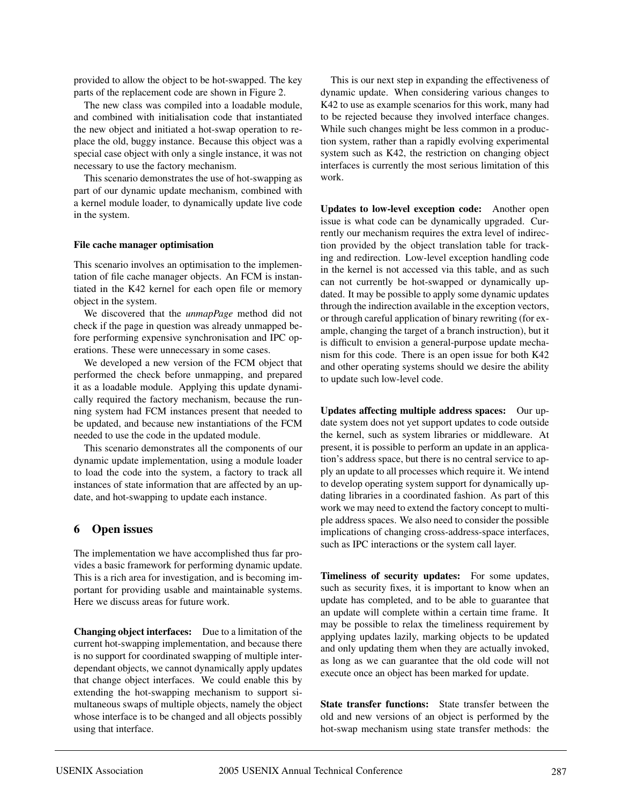provided to allow the object to be hot-swapped. The key parts of the replacement code are shown in Figure 2.

The new class was compiled into a loadable module, and combined with initialisation code that instantiated the new object and initiated a hot-swap operation to replace the old, buggy instance. Because this object was a special case object with only a single instance, it was not necessary to use the factory mechanism.

This scenario demonstrates the use of hot-swapping as part of our dynamic update mechanism, combined with a kernel module loader, to dynamically update live code in the system.

#### **File cache manager optimisation**

This scenario involves an optimisation to the implementation of file cache manager objects. An FCM is instantiated in the K42 kernel for each open file or memory object in the system.

We discovered that the *unmapPage* method did not check if the page in question was already unmapped before performing expensive synchronisation and IPC operations. These were unnecessary in some cases.

We developed a new version of the FCM object that performed the check before unmapping, and prepared it as a loadable module. Applying this update dynamically required the factory mechanism, because the running system had FCM instances present that needed to be updated, and because new instantiations of the FCM needed to use the code in the updated module.

This scenario demonstrates all the components of our dynamic update implementation, using a module loader to load the code into the system, a factory to track all instances of state information that are affected by an update, and hot-swapping to update each instance.

#### **6 Open issues**

The implementation we have accomplished thus far provides a basic framework for performing dynamic update. This is a rich area for investigation, and is becoming important for providing usable and maintainable systems. Here we discuss areas for future work.

**Changing object interfaces:** Due to a limitation of the current hot-swapping implementation, and because there is no support for coordinated swapping of multiple interdependant objects, we cannot dynamically apply updates that change object interfaces. We could enable this by extending the hot-swapping mechanism to support simultaneous swaps of multiple objects, namely the object whose interface is to be changed and all objects possibly using that interface.

This is our next step in expanding the effectiveness of dynamic update. When considering various changes to K42 to use as example scenarios for this work, many had to be rejected because they involved interface changes. While such changes might be less common in a production system, rather than a rapidly evolving experimental system such as K42, the restriction on changing object interfaces is currently the most serious limitation of this work.

**Updates to low-level exception code:** Another open issue is what code can be dynamically upgraded. Currently our mechanism requires the extra level of indirection provided by the object translation table for tracking and redirection. Low-level exception handling code in the kernel is not accessed via this table, and as such can not currently be hot-swapped or dynamically updated. It may be possible to apply some dynamic updates through the indirection available in the exception vectors, or through careful application of binary rewriting (for example, changing the target of a branch instruction), but it is difficult to envision a general-purpose update mechanism for this code. There is an open issue for both K42 and other operating systems should we desire the ability to update such low-level code.

**Updates affecting multiple address spaces:** Our update system does not yet support updates to code outside the kernel, such as system libraries or middleware. At present, it is possible to perform an update in an application's address space, but there is no central service to apply an update to all processes which require it. We intend to develop operating system support for dynamically updating libraries in a coordinated fashion. As part of this work we may need to extend the factory concept to multiple address spaces. We also need to consider the possible implications of changing cross-address-space interfaces, such as IPC interactions or the system call layer.

**Timeliness of security updates:** For some updates, such as security fixes, it is important to know when an update has completed, and to be able to guarantee that an update will complete within a certain time frame. It may be possible to relax the timeliness requirement by applying updates lazily, marking objects to be updated and only updating them when they are actually invoked, as long as we can guarantee that the old code will not execute once an object has been marked for update.

**State transfer functions:** State transfer between the old and new versions of an object is performed by the hot-swap mechanism using state transfer methods: the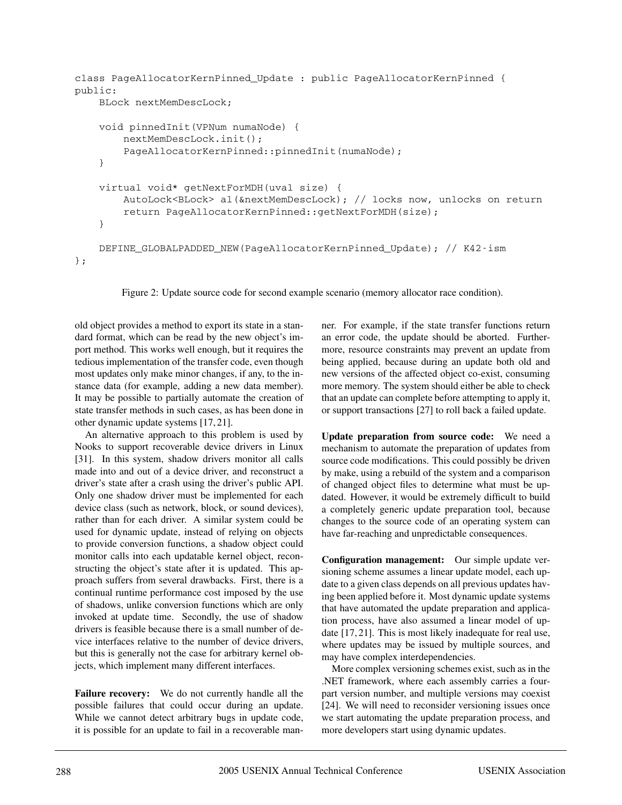```
class PageAllocatorKernPinned_Update : public PageAllocatorKernPinned {
public:
   BLock nextMemDescLock;
   void pinnedInit(VPNum numaNode) {
        nextMemDescLock.init();
        PageAllocatorKernPinned::pinnedInit(numaNode);
    }
   virtual void* getNextForMDH(uval size) {
        AutoLock<BLock> al(&nextMemDescLock); // locks now, unlocks on return
        return PageAllocatorKernPinned::getNextForMDH(size);
    }
   DEFINE_GLOBALPADDED_NEW(PageAllocatorKernPinned_Update); // K42-ism
};
```
Figure 2: Update source code for second example scenario (memory allocator race condition).

old object provides a method to export its state in a standard format, which can be read by the new object's import method. This works well enough, but it requires the tedious implementation of the transfer code, even though most updates only make minor changes, if any, to the instance data (for example, adding a new data member). It may be possible to partially automate the creation of state transfer methods in such cases, as has been done in other dynamic update systems [17, 21].

An alternative approach to this problem is used by Nooks to support recoverable device drivers in Linux [31]. In this system, shadow drivers monitor all calls made into and out of a device driver, and reconstruct a driver's state after a crash using the driver's public API. Only one shadow driver must be implemented for each device class (such as network, block, or sound devices), rather than for each driver. A similar system could be used for dynamic update, instead of relying on objects to provide conversion functions, a shadow object could monitor calls into each updatable kernel object, reconstructing the object's state after it is updated. This approach suffers from several drawbacks. First, there is a continual runtime performance cost imposed by the use of shadows, unlike conversion functions which are only invoked at update time. Secondly, the use of shadow drivers is feasible because there is a small number of device interfaces relative to the number of device drivers, but this is generally not the case for arbitrary kernel objects, which implement many different interfaces.

**Failure recovery:** We do not currently handle all the possible failures that could occur during an update. While we cannot detect arbitrary bugs in update code, it is possible for an update to fail in a recoverable manner. For example, if the state transfer functions return an error code, the update should be aborted. Furthermore, resource constraints may prevent an update from being applied, because during an update both old and new versions of the affected object co-exist, consuming more memory. The system should either be able to check that an update can complete before attempting to apply it, or support transactions [27] to roll back a failed update.

**Update preparation from source code:** We need a mechanism to automate the preparation of updates from source code modifications. This could possibly be driven by make, using a rebuild of the system and a comparison of changed object files to determine what must be updated. However, it would be extremely difficult to build a completely generic update preparation tool, because changes to the source code of an operating system can have far-reaching and unpredictable consequences.

**Configuration management:** Our simple update versioning scheme assumes a linear update model, each update to a given class depends on all previous updates having been applied before it. Most dynamic update systems that have automated the update preparation and application process, have also assumed a linear model of update [17, 21]. This is most likely inadequate for real use, where updates may be issued by multiple sources, and may have complex interdependencies.

More complex versioning schemes exist, such as in the .NET framework, where each assembly carries a fourpart version number, and multiple versions may coexist [24]. We will need to reconsider versioning issues once we start automating the update preparation process, and more developers start using dynamic updates.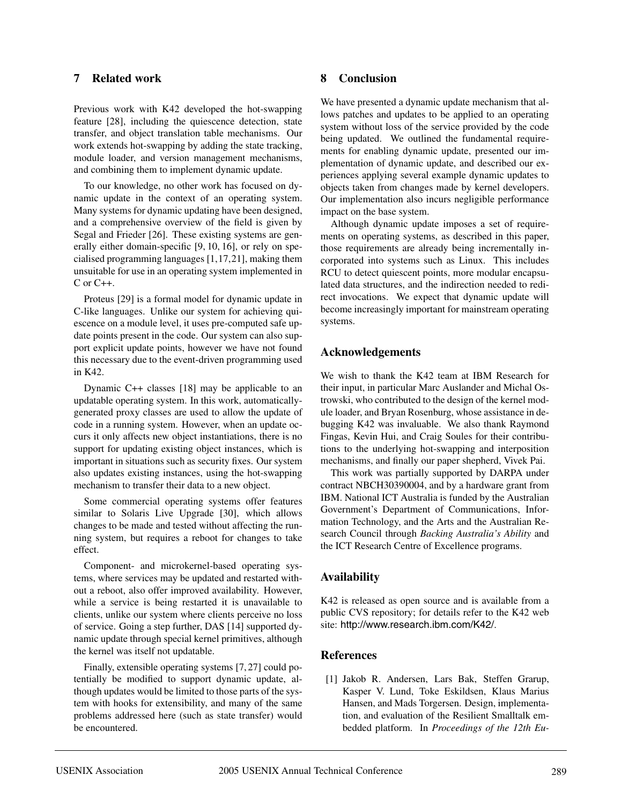# **7 Related work**

Previous work with K42 developed the hot-swapping feature [28], including the quiescence detection, state transfer, and object translation table mechanisms. Our work extends hot-swapping by adding the state tracking, module loader, and version management mechanisms, and combining them to implement dynamic update.

To our knowledge, no other work has focused on dynamic update in the context of an operating system. Many systems for dynamic updating have been designed, and a comprehensive overview of the field is given by Segal and Frieder [26]. These existing systems are generally either domain-specific [9, 10, 16], or rely on specialised programming languages [1,17,21], making them unsuitable for use in an operating system implemented in C or C++.

Proteus [29] is a formal model for dynamic update in C-like languages. Unlike our system for achieving quiescence on a module level, it uses pre-computed safe update points present in the code. Our system can also support explicit update points, however we have not found this necessary due to the event-driven programming used in K42.

Dynamic C++ classes [18] may be applicable to an updatable operating system. In this work, automaticallygenerated proxy classes are used to allow the update of code in a running system. However, when an update occurs it only affects new object instantiations, there is no support for updating existing object instances, which is important in situations such as security fixes. Our system also updates existing instances, using the hot-swapping mechanism to transfer their data to a new object.

Some commercial operating systems offer features similar to Solaris Live Upgrade [30], which allows changes to be made and tested without affecting the running system, but requires a reboot for changes to take effect.

Component- and microkernel-based operating systems, where services may be updated and restarted without a reboot, also offer improved availability. However, while a service is being restarted it is unavailable to clients, unlike our system where clients perceive no loss of service. Going a step further, DAS [14] supported dynamic update through special kernel primitives, although the kernel was itself not updatable.

Finally, extensible operating systems [7, 27] could potentially be modified to support dynamic update, although updates would be limited to those parts of the system with hooks for extensibility, and many of the same problems addressed here (such as state transfer) would be encountered.

# **8 Conclusion**

We have presented a dynamic update mechanism that allows patches and updates to be applied to an operating system without loss of the service provided by the code being updated. We outlined the fundamental requirements for enabling dynamic update, presented our implementation of dynamic update, and described our experiences applying several example dynamic updates to objects taken from changes made by kernel developers. Our implementation also incurs negligible performance impact on the base system.

Although dynamic update imposes a set of requirements on operating systems, as described in this paper, those requirements are already being incrementally incorporated into systems such as Linux. This includes RCU to detect quiescent points, more modular encapsulated data structures, and the indirection needed to redirect invocations. We expect that dynamic update will become increasingly important for mainstream operating systems.

# **Acknowledgements**

We wish to thank the K42 team at IBM Research for their input, in particular Marc Auslander and Michal Ostrowski, who contributed to the design of the kernel module loader, and Bryan Rosenburg, whose assistance in debugging K42 was invaluable. We also thank Raymond Fingas, Kevin Hui, and Craig Soules for their contributions to the underlying hot-swapping and interposition mechanisms, and finally our paper shepherd, Vivek Pai.

This work was partially supported by DARPA under contract NBCH30390004, and by a hardware grant from IBM. National ICT Australia is funded by the Australian Government's Department of Communications, Information Technology, and the Arts and the Australian Research Council through *Backing Australia's Ability* and the ICT Research Centre of Excellence programs.

# **Availability**

K42 is released as open source and is available from a public CVS repository; for details refer to the K42 web site: http://www.research.ibm.com/K42/.

# **References**

[1] Jakob R. Andersen, Lars Bak, Steffen Grarup, Kasper V. Lund, Toke Eskildsen, Klaus Marius Hansen, and Mads Torgersen. Design, implementation, and evaluation of the Resilient Smalltalk embedded platform. In *Proceedings of the 12th Eu-*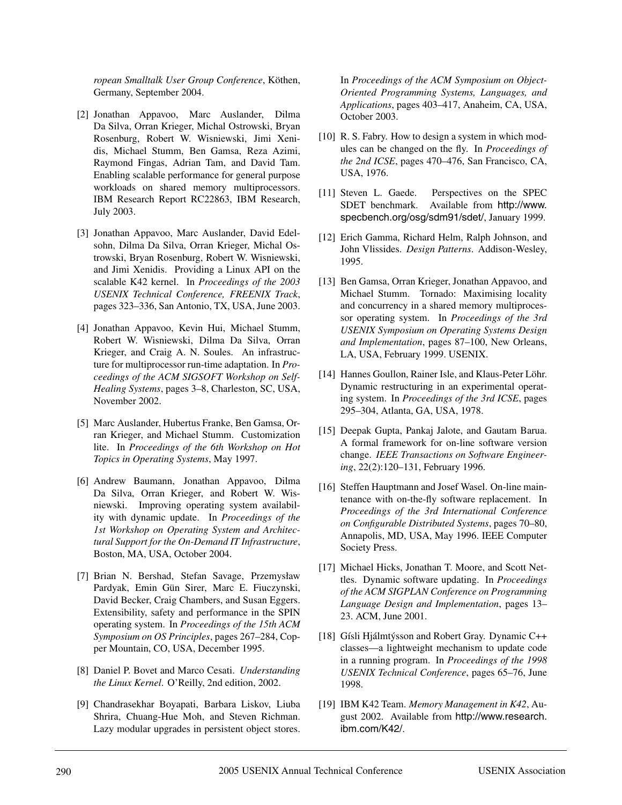*ropean Smalltalk User Group Conference*, Köthen, Germany, September 2004.

- [2] Jonathan Appavoo, Marc Auslander, Dilma Da Silva, Orran Krieger, Michal Ostrowski, Bryan Rosenburg, Robert W. Wisniewski, Jimi Xenidis, Michael Stumm, Ben Gamsa, Reza Azimi, Raymond Fingas, Adrian Tam, and David Tam. Enabling scalable performance for general purpose workloads on shared memory multiprocessors. IBM Research Report RC22863, IBM Research, July 2003.
- [3] Jonathan Appavoo, Marc Auslander, David Edelsohn, Dilma Da Silva, Orran Krieger, Michal Ostrowski, Bryan Rosenburg, Robert W. Wisniewski, and Jimi Xenidis. Providing a Linux API on the scalable K42 kernel. In *Proceedings of the 2003 USENIX Technical Conference, FREENIX Track*, pages 323–336, San Antonio, TX, USA, June 2003.
- [4] Jonathan Appavoo, Kevin Hui, Michael Stumm, Robert W. Wisniewski, Dilma Da Silva, Orran Krieger, and Craig A. N. Soules. An infrastructure for multiprocessor run-time adaptation. In *Proceedings of the ACM SIGSOFT Workshop on Self-Healing Systems*, pages 3–8, Charleston, SC, USA, November 2002.
- [5] Marc Auslander, Hubertus Franke, Ben Gamsa, Orran Krieger, and Michael Stumm. Customization lite. In *Proceedings of the 6th Workshop on Hot Topics in Operating Systems*, May 1997.
- [6] Andrew Baumann, Jonathan Appavoo, Dilma Da Silva, Orran Krieger, and Robert W. Wisniewski. Improving operating system availability with dynamic update. In *Proceedings of the 1st Workshop on Operating System and Architectural Support for the On-Demand IT Infrastructure*, Boston, MA, USA, October 2004.
- [7] Brian N. Bershad, Stefan Savage, Przemysław Pardyak, Emin Gün Sirer, Marc E. Fiuczynski, David Becker, Craig Chambers, and Susan Eggers. Extensibility, safety and performance in the SPIN operating system. In *Proceedings of the 15th ACM Symposium on OS Principles*, pages 267–284, Copper Mountain, CO, USA, December 1995.
- [8] Daniel P. Bovet and Marco Cesati. *Understanding the Linux Kernel*. O'Reilly, 2nd edition, 2002.
- [9] Chandrasekhar Boyapati, Barbara Liskov, Liuba Shrira, Chuang-Hue Moh, and Steven Richman. Lazy modular upgrades in persistent object stores.

In *Proceedings of the ACM Symposium on Object-Oriented Programming Systems, Languages, and Applications*, pages 403–417, Anaheim, CA, USA, October 2003.

- [10] R. S. Fabry. How to design a system in which modules can be changed on the fly. In *Proceedings of the 2nd ICSE*, pages 470–476, San Francisco, CA, USA, 1976.
- [11] Steven L. Gaede. Perspectives on the SPEC SDET benchmark. Available from http://www. specbench.org/osg/sdm91/sdet/, January 1999.
- [12] Erich Gamma, Richard Helm, Ralph Johnson, and John Vlissides. *Design Patterns*. Addison-Wesley, 1995.
- [13] Ben Gamsa, Orran Krieger, Jonathan Appavoo, and Michael Stumm. Tornado: Maximising locality and concurrency in a shared memory multiprocessor operating system. In *Proceedings of the 3rd USENIX Symposium on Operating Systems Design and Implementation*, pages 87–100, New Orleans, LA, USA, February 1999. USENIX.
- [14] Hannes Goullon, Rainer Isle, and Klaus-Peter Löhr. Dynamic restructuring in an experimental operating system. In *Proceedings of the 3rd ICSE*, pages 295–304, Atlanta, GA, USA, 1978.
- [15] Deepak Gupta, Pankaj Jalote, and Gautam Barua. A formal framework for on-line software version change. *IEEE Transactions on Software Engineering*, 22(2):120–131, February 1996.
- [16] Steffen Hauptmann and Josef Wasel. On-line maintenance with on-the-fly software replacement. In *Proceedings of the 3rd International Conference on Configurable Distributed Systems*, pages 70–80, Annapolis, MD, USA, May 1996. IEEE Computer Society Press.
- [17] Michael Hicks, Jonathan T. Moore, and Scott Nettles. Dynamic software updating. In *Proceedings of the ACM SIGPLAN Conference on Programming Language Design and Implementation*, pages 13– 23. ACM, June 2001.
- [18] Gísli Hjálmtýsson and Robert Gray. Dynamic C++ classes—a lightweight mechanism to update code in a running program. In *Proceedings of the 1998 USENIX Technical Conference*, pages 65–76, June 1998.
- [19] IBM K42 Team. *Memory Management in K42*, August 2002. Available from http://www.research. ibm.com/K42/.